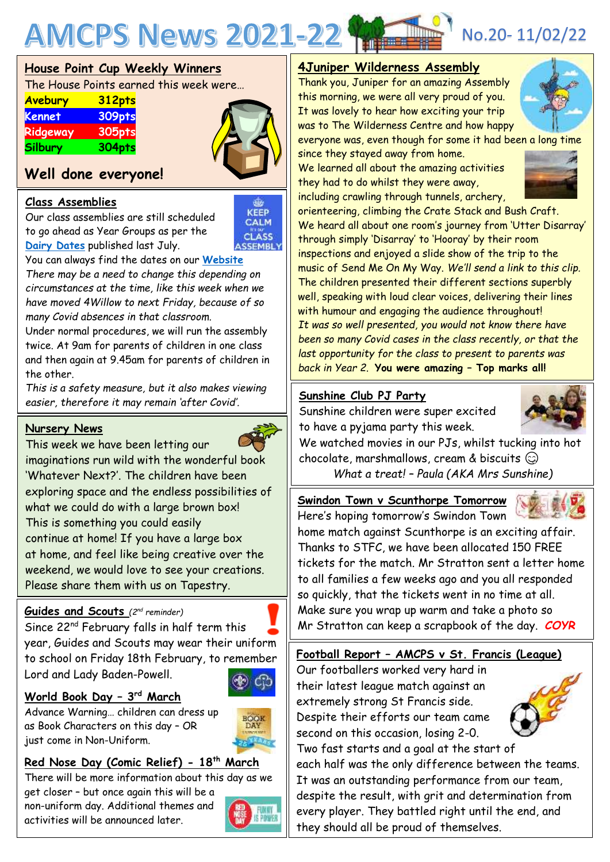

|  |  | <b>House Point Cup Weekly Winners</b> |
|--|--|---------------------------------------|
|  |  |                                       |

The House Points earned this week were…

| <b>Avebury</b> | <b>312pts</b> |  |
|----------------|---------------|--|
| <b>Kennet</b>  | 309pts        |  |
| Ridgeway       | 305pts        |  |
| Silbury        | 304pts        |  |



## **Well done everyone!**

#### **Class Assemblies**

Our class assemblies are still scheduled to go ahead as Year Groups as per the **[Dairy Dates](https://www.abbeymeads.swindon.sch.uk/_files/ugd/64c1c7_7f26307e6c43418fadbb357166654bfc.pdf)** published last July.



You can always find the dates on our **[Website](https://www.abbeymeads.swindon.sch.uk/)**

*There may be a need to change this depending on circumstances at the time, like this week when we have moved 4Willow to next Friday, because of so many Covid absences in that classroom.*

Under normal procedures, we will run the assembly twice. At 9am for parents of children in one class and then again at 9.45am for parents of children in the other.

*This is a safety measure, but it also makes viewing easier, therefore it may remain 'after Covid'.*

#### **Nursery News**



This week we have been letting our imaginations run wild with the wonderful book 'Whatever Next?'. The children have been exploring space and the endless possibilities of what we could do with a large brown box! This is something you could easily continue at home! If you have a large box at home, and feel like being creative over the weekend, we would love to see your creations. Please share them with us on Tapestry.

#### **Guides and Scouts** *(2 nd reminder)*

Since 22nd February falls in half term this year, Guides and Scouts may wear their uniform to school on Friday 18th February, to remember Lord and Lady Baden-Powell.



#### **World Book Day – 3 rd March**

activities will be announced later.

Advance Warning… children can dress up as Book Characters on this day – OR just come in Non-Uniform.



#### **Red Nose Day (Comic Relief) - 18th March**

There will be more information about this day as we get closer – but once again this will be a non-uniform day. Additional themes and



#### **4Juniper Wilderness Assembly**

Thank you, Juniper for an amazing Assembly this morning, we were all very proud of you. It was lovely to hear how exciting your trip was to The Wilderness Centre and how happy



everyone was, even though for some it had been a long time

since they stayed away from home. We learned all about the amazing activities they had to do whilst they were away, including crawling through tunnels, archery,



orienteering, climbing the Crate Stack and Bush Craft. We heard all about one room's journey from 'Utter Disarray' through simply 'Disarray' to 'Hooray' by their room inspections and enjoyed a slide show of the trip to the music of Send Me On My Way. *We'll send a link to this clip.* The children presented their different sections superbly well, speaking with loud clear voices, delivering their lines with humour and engaging the audience throughout! *It was so well presented, you would not know there have been so many Covid cases in the class recently, or that the last opportunity for the class to present to parents was back in Year 2*. **You were amazing – Top marks all!**

#### **Sunshine Club PJ Party**

Sunshine children were super excited to have a pyjama party this week.



We watched movies in our PJs, whilst tucking into hot chocolate, marshmallows, cream & biscuits  $\textcircled{c}$ 

*What a treat! – Paula (AKA Mrs Sunshine)*

**Swindon Town v Scunthorpe Tomorrow**



Here's hoping tomorrow's Swindon Town home match against Scunthorpe is an exciting affair. Thanks to STFC, we have been allocated 150 FREE tickets for the match. Mr Stratton sent a letter home to all families a few weeks ago and you all responded so quickly, that the tickets went in no time at all. Make sure you wrap up warm and take a photo so Mr Stratton can keep a scrapbook of the day. *COYR*

## **Football Report – AMCPS v St. Francis (League)**

Our footballers worked very hard in their latest league match against an extremely strong St Francis side. Despite their efforts our team came second on this occasion, losing 2-0. Two fast starts and a goal at the start of



each half was the only difference between the teams. It was an outstanding performance from our team, despite the result, with grit and determination from every player. They battled right until the end, and they should all be proud of themselves.